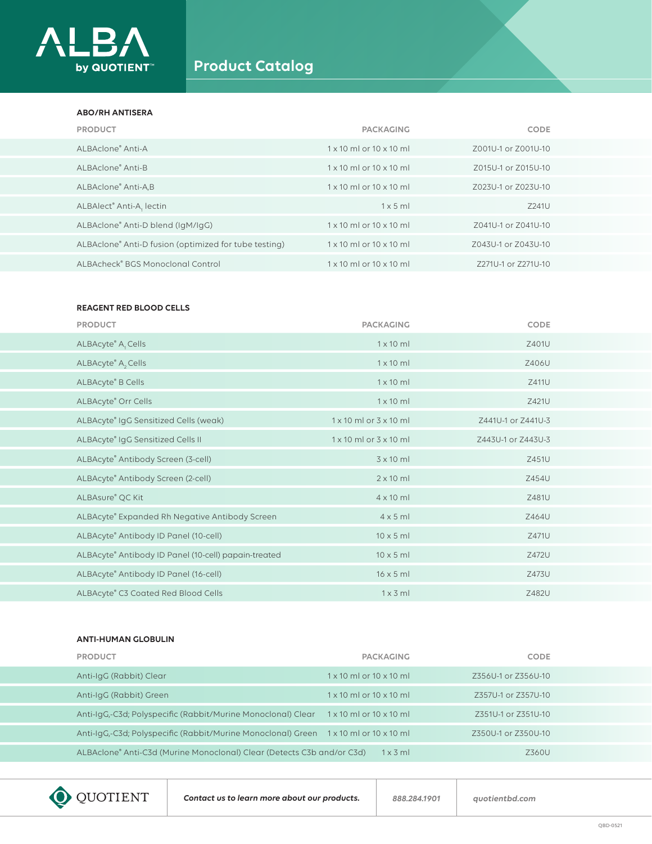

# **Product Catalog**

### **ABO/RH ANTISERA**

| <b>PRODUCT</b>                                        | <b>PACKAGING</b>                      | <b>CODE</b>         |
|-------------------------------------------------------|---------------------------------------|---------------------|
| ALBAclone® Anti-A                                     | $1 \times 10$ ml or $10 \times 10$ ml | Z001U-1 or Z001U-10 |
| ALBAclone® Anti-B                                     | $1 \times 10$ ml or $10 \times 10$ ml | Z015U-1 or Z015U-10 |
| ALBAclone® Anti-A,B                                   | $1 \times 10$ ml or $10 \times 10$ ml | Z023U-1 or Z023U-10 |
| ALBAlect® Anti-A, lectin                              | $1 \times 5$ ml                       | Z241U               |
| ALBAclone® Anti-D blend (IgM/IgG)                     | $1 \times 10$ ml or $10 \times 10$ ml | Z041U-1 or Z041U-10 |
| ALBAclone® Anti-D fusion (optimized for tube testing) | $1 \times 10$ ml or $10 \times 10$ ml | Z043U-1 or Z043U-10 |
| ALBAcheck® BGS Monoclonal Control                     | $1 \times 10$ ml or $10 \times 10$ ml | Z271U-1 or Z271U-10 |

## **REAGENT RED BLOOD CELLS**

| <b>PRODUCT</b>                                       | <b>PACKAGING</b>                     | <b>CODE</b>        |
|------------------------------------------------------|--------------------------------------|--------------------|
| ALBAcyte® A, Cells                                   | $1 \times 10$ ml                     | Z401U              |
| ALBAcyte® A <sub>2</sub> Cells                       | $1 \times 10$ ml                     | Z406U              |
| ALBAcyte® B Cells                                    | $1 \times 10$ ml                     | Z411U              |
| ALBAcyte® Orr Cells                                  | $1 \times 10$ ml                     | Z421U              |
| ALBAcyte® IgG Sensitized Cells (weak)                | $1 \times 10$ ml or $3 \times 10$ ml | Z441U-1 or Z441U-3 |
| ALBAcyte® IgG Sensitized Cells II                    | $1 \times 10$ ml or $3 \times 10$ ml | Z443U-1 or Z443U-3 |
| ALBAcyte® Antibody Screen (3-cell)                   | $3 \times 10$ ml                     | Z451U              |
| ALBAcyte® Antibody Screen (2-cell)                   | $2 \times 10$ ml                     | Z454U              |
| ALBAsure® QC Kit                                     | $4 \times 10$ ml                     | Z481U              |
| ALBAcyte® Expanded Rh Negative Antibody Screen       | $4 \times 5$ ml                      | Z464U              |
| ALBAcyte® Antibody ID Panel (10-cell)                | $10 \times 5$ ml                     | Z471U              |
| ALBAcyte® Antibody ID Panel (10-cell) papain-treated | $10 \times 5$ ml                     | Z472U              |
| ALBAcyte® Antibody ID Panel (16-cell)                | $16 \times 5$ ml                     | Z473U              |
| ALBAcyte® C3 Coated Red Blood Cells                  | $1 \times 3$ ml                      | Z482U              |

### **ANTI-HUMAN GLOBULIN**

| <b>PRODUCT</b>                                                                       | <b>PACKAGING</b>                      | <b>CODE</b>         |  |
|--------------------------------------------------------------------------------------|---------------------------------------|---------------------|--|
| Anti-IgG (Rabbit) Clear                                                              | $1 \times 10$ ml or $10 \times 10$ ml | Z356U-1 or Z356U-10 |  |
| Anti-IqG (Rabbit) Green                                                              | $1 \times 10$ ml or $10 \times 10$ ml | Z357U-1 or Z357U-10 |  |
| Anti-IgG,-C3d; Polyspecific (Rabbit/Murine Monoclonal) Clear                         | $1 \times 10$ ml or $10 \times 10$ ml | Z351U-1 or Z351U-10 |  |
| Anti-IgG,-C3d; Polyspecific (Rabbit/Murine Monoclonal) Green 1 x 10 ml or 10 x 10 ml |                                       | Z350U-1 or Z350U-10 |  |
| ALBAclone® Anti-C3d (Murine Monoclonal) Clear (Detects C3b and/or C3d)               | $1 \times 3$ ml                       | Z360U               |  |